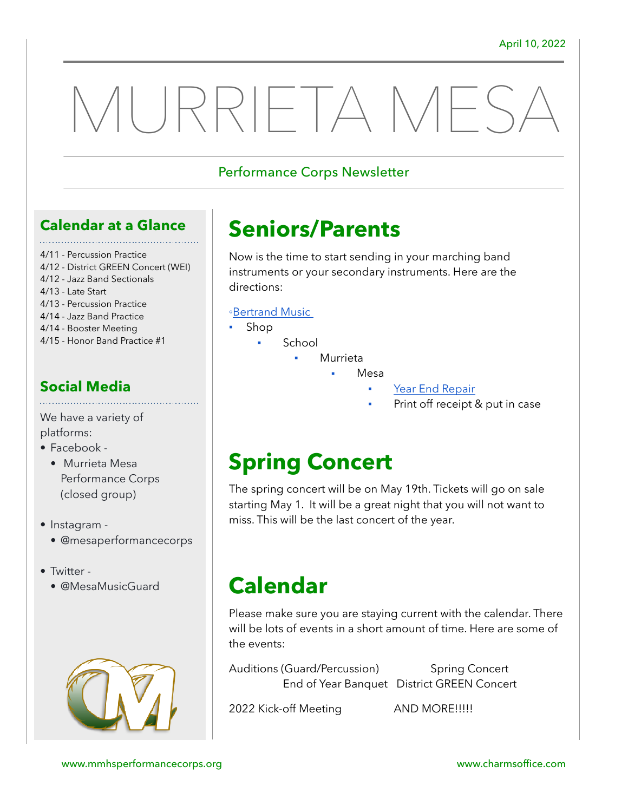# MURRIETA MES,

#### Performance Corps Newsletter

#### **Calendar at a Glance**

- 4/11 Percussion Practice
- 4/12 District GREEN Concert (WEI)
- 4/12 Jazz Band Sectionals
- 4/13 Late Start
- 4/13 Percussion Practice
- 4/14 Jazz Band Practice
- 4/14 Booster Meeting
- 4/15 Honor Band Practice #1

#### **Social Media**

We have a variety of platforms:

- Facebook
	- Murrieta Mesa Performance Corps (closed group)
- Instagram • @mesaperformancecorps
- Twitter
	- @MesaMusicGuard



# **Seniors/Parents**

Now is the time to start sending in your marching band instruments or your secondary instruments. Here are the directions:

#### ◦[Bertrand Music](https://bertrandsmusicrentals.com/)

- **Shop** 
	- School
		- **Murrieta** 
			- **Mesa** 
				- [Year End Repair](https://www.bertrandsmusicrentals.com/t-mmhs.aspx)
					- Print off receipt & put in case

## **Spring Concert**

The spring concert will be on May 19th. Tickets will go on sale starting May 1. It will be a great night that you will not want to miss. This will be the last concert of the year.

## **Calendar**

Please make sure you are staying current with the calendar. There will be lots of events in a short amount of time. Here are some of the events:

Auditions (Guard/Percussion) Spring Concert End of Year Banquet District GREEN Concert

2022 Kick-off Meeting **AND MORE!!!!!**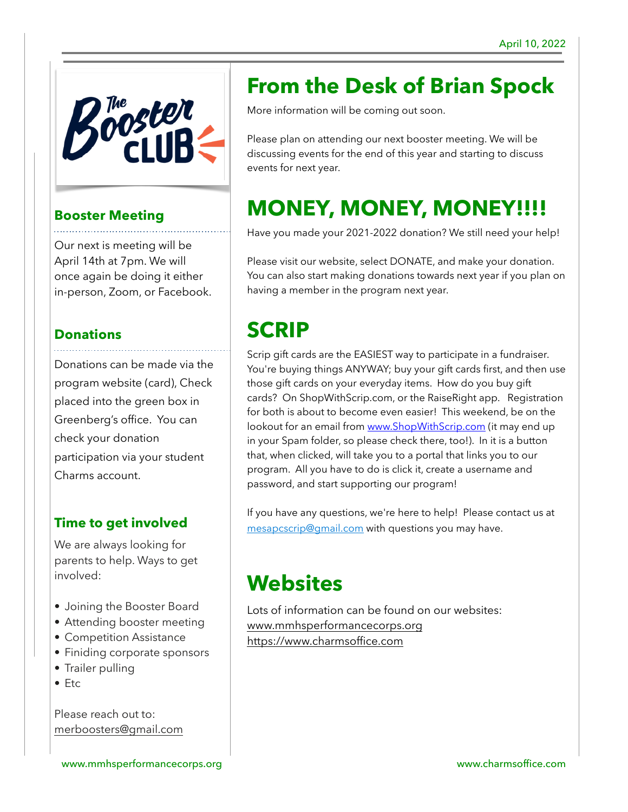

#### **Booster Meeting**

Our next is meeting will be April 14th at 7pm. We will once again be doing it either in-person, Zoom, or Facebook.

#### **Donations**

Donations can be made via the program website (card), Check placed into the green box in Greenberg's office. You can check your donation participation via your student Charms account.

#### **Time to get involved**

We are always looking for parents to help. Ways to get involved:

- Joining the Booster Board
- Attending booster meeting
- Competition Assistance
- Finiding corporate sponsors
- Trailer pulling
- Etc

Please reach out to: [merboosters@gmail.com](mailto:merboosters@gmail.com)

## **From the Desk of Brian Spock**

More information will be coming out soon.

Please plan on attending our next booster meeting. We will be discussing events for the end of this year and starting to discuss events for next year.

# **MONEY, MONEY, MONEY!!!!**

Have you made your 2021-2022 donation? We still need your help!

Please visit our website, select DONATE, and make your donation. You can also start making donations towards next year if you plan on having a member in the program next year.

## **SCRIP**

Scrip gift cards are the EASIEST way to participate in a fundraiser. You're buying things ANYWAY; buy your gift cards first, and then use those gift cards on your everyday items. How do you buy gift cards? On ShopWithScrip.com, or the RaiseRight app. Registration for both is about to become even easier! This weekend, be on the lookout for an email from [www.ShopWithScrip.com](http://www.shopwithscrip.com/) (it may end up in your Spam folder, so please check there, too!). In it is a button that, when clicked, will take you to a portal that links you to our program. All you have to do is click it, create a username and password, and start supporting our program!

If you have any questions, we're here to help! Please contact us at [mesapcscrip@gmail.com](mailto:mesapcscrip@gmail.com) with questions you may have.

## **Websites**

Lots of information can be found on our websites: [www.mmhsperformancecorps.org](http://www.mmhsperformancecorps.org) <https://www.charmsoffice.com>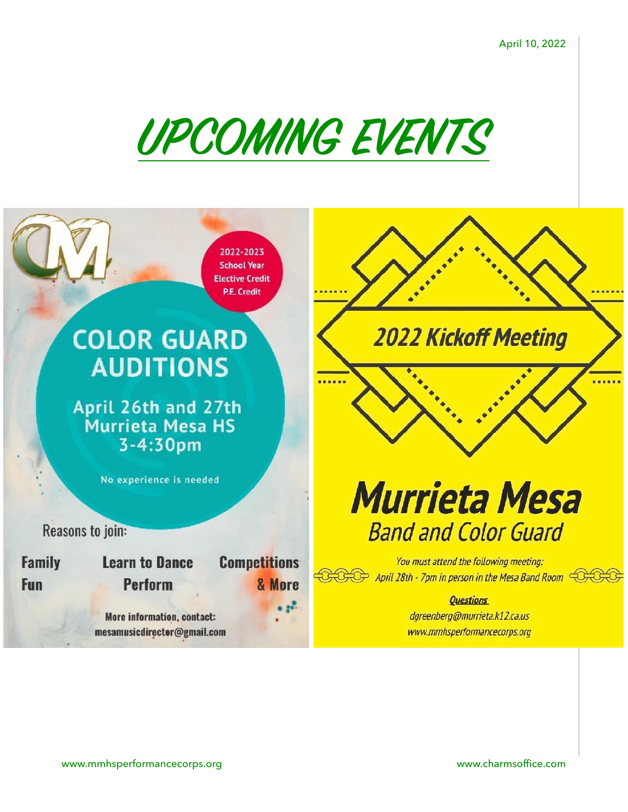